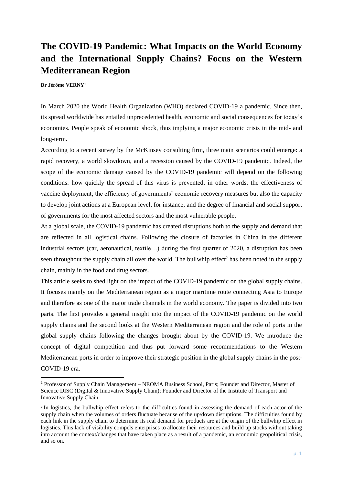# **The COVID-19 Pandemic: What Impacts on the World Economy and the International Supply Chains? Focus on the Western Mediterranean Region**

**Dr Jérôme VERNY<sup>1</sup>**

**.** 

In March 2020 the World Health Organization (WHO) declared COVID-19 a pandemic. Since then, its spread worldwide has entailed unprecedented health, economic and social consequences for today's economies. People speak of economic shock, thus implying a major economic crisis in the mid- and long-term.

According to a recent survey by the McKinsey consulting firm, three main scenarios could emerge: a rapid recovery, a world slowdown, and a recession caused by the COVID-19 pandemic. Indeed, the scope of the economic damage caused by the COVID-19 pandemic will depend on the following conditions: how quickly the spread of this virus is prevented, in other words, the effectiveness of vaccine deployment; the efficiency of governments' economic recovery measures but also the capacity to develop joint actions at a European level, for instance; and the degree of financial and social support of governments for the most affected sectors and the most vulnerable people.

At a global scale, the COVID-19 pandemic has created disruptions both to the supply and demand that are reflected in all logistical chains. Following the closure of factories in China in the different industrial sectors (car, aeronautical, textile…) during the first quarter of 2020, a disruption has been seen throughout the supply chain all over the world. The bullwhip effect<sup>2</sup> has been noted in the supply chain, mainly in the food and drug sectors.

This article seeks to shed light on the impact of the COVID-19 pandemic on the global supply chains. It focuses mainly on the Mediterranean region as a major maritime route connecting Asia to Europe and therefore as one of the major trade channels in the world economy. The paper is divided into two parts. The first provides a general insight into the impact of the COVID-19 pandemic on the world supply chains and the second looks at the Western Mediterranean region and the role of ports in the global supply chains following the changes brought about by the COVID-19. We introduce the concept of digital competition and thus put forward some recommendations to the Western Mediterranean ports in order to improve their strategic position in the global supply chains in the post-COVID-19 era.

<sup>1</sup> Professor of Supply Chain Management – NEOMA Business School, Paris; Founder and Director, Master of Science DISC (Digital & Innovative Supply Chain); Founder and Director of the Institute of Transport and Innovative Supply Chain.

**<sup>2</sup>** In logistics, the bullwhip effect refers to the difficulties found in assessing the demand of each actor of the supply chain when the volumes of orders fluctuate because of the up/down disruptions. The difficulties found by each link in the supply chain to determine its real demand for products are at the origin of the bullwhip effect in logistics. This lack of visibility compels enterprises to allocate their resources and build up stocks without taking into account the context/changes that have taken place as a result of a pandemic, an economic geopolitical crisis, and so on.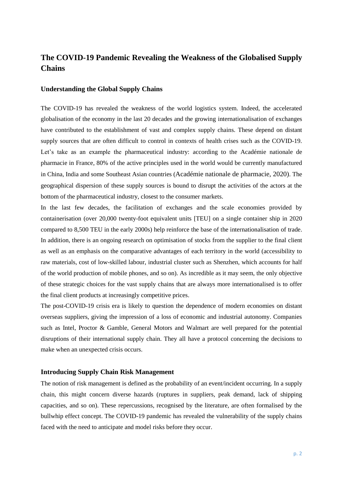## **The COVID-19 Pandemic Revealing the Weakness of the Globalised Supply Chains**

#### **Understanding the Global Supply Chains**

The COVID-19 has revealed the weakness of the world logistics system. Indeed, the accelerated globalisation of the economy in the last 20 decades and the growing internationalisation of exchanges have contributed to the establishment of vast and complex supply chains. These depend on distant supply sources that are often difficult to control in contexts of health crises such as the COVID-19. Let's take as an example the pharmaceutical industry: according to the Académie nationale de pharmacie in France, 80% of the active principles used in the world would be currently manufactured in China, India and some Southeast Asian countries (Académie nationale de pharmacie, 2020). The geographical dispersion of these supply sources is bound to disrupt the activities of the actors at the bottom of the pharmaceutical industry, closest to the consumer markets.

In the last few decades, the facilitation of exchanges and the scale economies provided by containerisation (over 20,000 twenty-foot equivalent units [TEU] on a single container ship in 2020 compared to 8,500 TEU in the early 2000s) help reinforce the base of the internationalisation of trade. In addition, there is an ongoing research on optimisation of stocks from the supplier to the final client as well as an emphasis on the comparative advantages of each territory in the world (accessibility to raw materials, cost of low-skilled labour, industrial cluster such as Shenzhen, which accounts for half of the world production of mobile phones, and so on). As incredible as it may seem, the only objective of these strategic choices for the vast supply chains that are always more internationalised is to offer the final client products at increasingly competitive prices.

The post-COVID-19 crisis era is likely to question the dependence of modern economies on distant overseas suppliers, giving the impression of a loss of economic and industrial autonomy. Companies such as Intel, Proctor & Gamble, General Motors and Walmart are well prepared for the potential disruptions of their international supply chain. They all have a protocol concerning the decisions to make when an unexpected crisis occurs.

### **Introducing Supply Chain Risk Management**

The notion of risk management is defined as the probability of an event/incident occurring. In a supply chain, this might concern diverse hazards (ruptures in suppliers, peak demand, lack of shipping capacities, and so on). These repercussions, recognised by the literature, are often formalised by the bullwhip effect concept. The COVID-19 pandemic has revealed the vulnerability of the supply chains faced with the need to anticipate and model risks before they occur.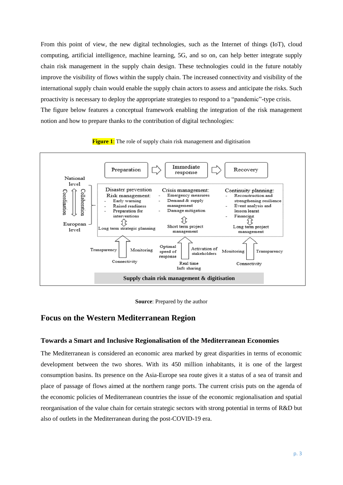From this point of view, the new digital technologies, such as the Internet of things (IoT), cloud computing, artificial intelligence, machine learning, 5G, and so on, can help better integrate supply chain risk management in the supply chain design. These technologies could in the future notably improve the visibility of flows within the supply chain. The increased connectivity and visibility of the international supply chain would enable the supply chain actors to assess and anticipate the risks. Such proactivity is necessary to deploy the appropriate strategies to respond to a "pandemic"-type crisis. The figure below features a conceptual framework enabling the integration of the risk management notion and how to prepare thanks to the contribution of digital technologies:







## **Focus on the Western Mediterranean Region**

#### **Towards a Smart and Inclusive Regionalisation of the Mediterranean Economies**

The Mediterranean is considered an economic area marked by great disparities in terms of economic development between the two shores. With its 450 million inhabitants, it is one of the largest consumption basins. Its presence on the Asia-Europe sea route gives it a status of a sea of transit and place of passage of flows aimed at the northern range ports. The current crisis puts on the agenda of the economic policies of Mediterranean countries the issue of the economic regionalisation and spatial reorganisation of the value chain for certain strategic sectors with strong potential in terms of R&D but also of outlets in the Mediterranean during the post-COVID-19 era.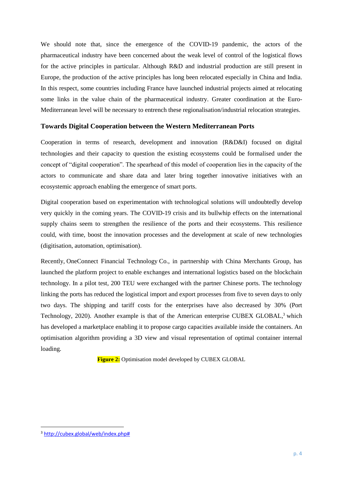We should note that, since the emergence of the COVID-19 pandemic, the actors of the pharmaceutical industry have been concerned about the weak level of control of the logistical flows for the active principles in particular. Although R&D and industrial production are still present in Europe, the production of the active principles has long been relocated especially in China and India. In this respect, some countries including France have launched industrial projects aimed at relocating some links in the value chain of the pharmaceutical industry. Greater coordination at the Euro-Mediterranean level will be necessary to entrench these regionalisation/industrial relocation strategies.

### **Towards Digital Cooperation between the Western Mediterranean Ports**

Cooperation in terms of research, development and innovation (R&D&I) focused on digital technologies and their capacity to question the existing ecosystems could be formalised under the concept of "digital cooperation". The spearhead of this model of cooperation lies in the capacity of the actors to communicate and share data and later bring together innovative initiatives with an ecosystemic approach enabling the emergence of smart ports.

Digital cooperation based on experimentation with technological solutions will undoubtedly develop very quickly in the coming years. The COVID-19 crisis and its bullwhip effects on the international supply chains seem to strengthen the resilience of the ports and their ecosystems. This resilience could, with time, boost the innovation processes and the development at scale of new technologies (digitisation, automation, optimisation).

Recently, OneConnect Financial Technology Co., in partnership with China Merchants Group, has launched the platform project to enable exchanges and international logistics based on the blockchain technology. In a pilot test, 200 TEU were exchanged with the partner Chinese ports. The technology linking the ports has reduced the logistical import and export processes from five to seven days to only two days. The shipping and tariff costs for the enterprises have also decreased by 30% (Port Technology, 2020). Another example is that of the American enterprise CUBEX GLOBAL,<sup>3</sup> which has developed a marketplace enabling it to propose cargo capacities available inside the containers. An optimisation algorithm providing a 3D view and visual representation of optimal container internal loading.

**Figure 2:** Optimisation model developed by CUBEX GLOBAL

1

<sup>3</sup> [http://cubex.global/web/index.php#](http://cubex.global/web/index.php)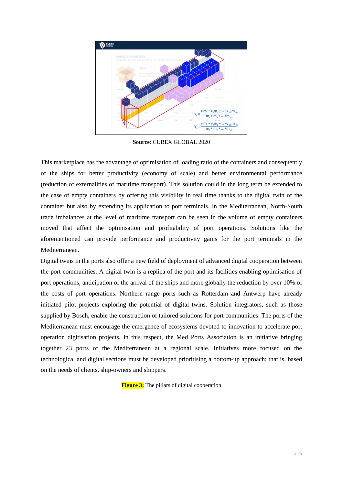

**Source**: CUBEX GLOBAL 2020

This marketplace has the advantage of optimisation of loading ratio of the containers and consequently of the ships for better productivity (economy of scale) and better environmental performance (reduction of externalities of maritime transport). This solution could in the long term be extended to the case of empty containers by offering this visibility in real time thanks to the digital twin of the container but also by extending its application to port terminals. In the Mediterranean, North-South trade imbalances at the level of maritime transport can be seen in the volume of empty containers moved that affect the optimisation and profitability of port operations. Solutions like the aforementioned can provide performance and productivity gains for the port terminals in the Mediterranean.

Digital twins in the ports also offer a new field of deployment of advanced digital cooperation between the port communities. A digital twin is a replica of the port and its facilities enabling optimisation of port operations, anticipation of the arrival of the ships and more globally the reduction by over 10% of the costs of port operations. Northern range ports such as Rotterdam and Antwerp have already initiated pilot projects exploring the potential of digital twins. Solution integrators, such as those supplied by Bosch, enable the construction of tailored solutions for port communities. The ports of the Mediterranean must encourage the emergence of ecosystems devoted to innovation to accelerate port operation digitisation projects. In this respect, the Med Ports Association is an initiative bringing together 23 ports of the Mediterranean at a regional scale. Initiatives more focused on the technological and digital sections must be developed prioritising a bottom-up approach; that is, based on the needs of clients, ship-owners and shippers.

**Figure 3:** The pillars of digital cooperation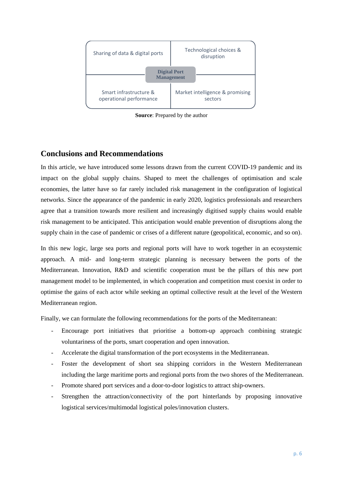

**Source**: Prepared by the author

## **Conclusions and Recommendations**

In this article, we have introduced some lessons drawn from the current COVID-19 pandemic and its impact on the global supply chains. Shaped to meet the challenges of optimisation and scale economies, the latter have so far rarely included risk management in the configuration of logistical networks. Since the appearance of the pandemic in early 2020, logistics professionals and researchers agree that a transition towards more resilient and increasingly digitised supply chains would enable risk management to be anticipated. This anticipation would enable prevention of disruptions along the supply chain in the case of pandemic or crises of a different nature (geopolitical, economic, and so on).

In this new logic, large sea ports and regional ports will have to work together in an ecosystemic approach. A mid- and long-term strategic planning is necessary between the ports of the Mediterranean. Innovation, R&D and scientific cooperation must be the pillars of this new port management model to be implemented, in which cooperation and competition must coexist in order to optimise the gains of each actor while seeking an optimal collective result at the level of the Western Mediterranean region.

Finally, we can formulate the following recommendations for the ports of the Mediterranean:

- Encourage port initiatives that prioritise a bottom-up approach combining strategic voluntariness of the ports, smart cooperation and open innovation.
- Accelerate the digital transformation of the port ecosystems in the Mediterranean.
- Foster the development of short sea shipping corridors in the Western Mediterranean including the large maritime ports and regional ports from the two shores of the Mediterranean.
- Promote shared port services and a door-to-door logistics to attract ship-owners.
- Strengthen the attraction/connectivity of the port hinterlands by proposing innovative logistical services/multimodal logistical poles/innovation clusters.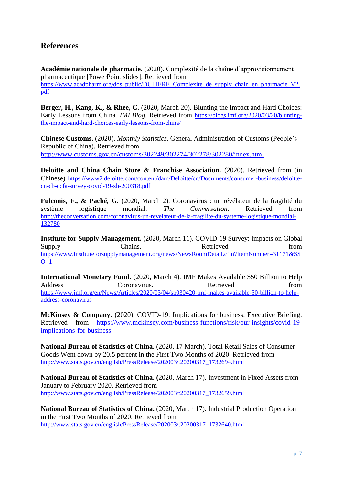## **References**

**Académie nationale de pharmacie.** (2020). Complexité de la chaîne d'approvisionnement pharmaceutique [PowerPoint slides]. Retrieved from [https://www.acadpharm.org/dos\\_public/DULIERE\\_Complexite\\_de\\_supply\\_chain\\_en\\_pharmacie\\_V2.](https://www.acadpharm.org/dos_public/DULIERE_Complexite_de_supply_chain_en_pharmacie_V2.pdf) [pdf](https://www.acadpharm.org/dos_public/DULIERE_Complexite_de_supply_chain_en_pharmacie_V2.pdf)

**Berger, H., Kang, K., & Rhee, C.** (2020, March 20). Blunting the Impact and Hard Choices: Early Lessons from China*. IMFBlog*. Retrieved from [https://blogs.imf.org/2020/03/20/blunting](https://blogs.imf.org/2020/03/20/blunting-the-impact-and-hard-choices-early-lessons-from-china/)[the-impact-and-hard-choices-early-lessons-from-china/](https://blogs.imf.org/2020/03/20/blunting-the-impact-and-hard-choices-early-lessons-from-china/)

**Chinese Customs.** (2020). *Monthly Statistics*. General Administration of Customs (People's Republic of China). Retrieved from <http://www.customs.gov.cn/customs/302249/302274/302278/302280/index.html>

**Deloitte and China Chain Store & Franchise Association.** (2020). Retrieved from (in Chinese) [https://www2.deloitte.com/content/dam/Deloitte/cn/Documents/consumer-business/deloitte](https://www2.deloitte.com/content/dam/Deloitte/cn/Documents/consumer-business/deloitte-cn-cb-ccfa-survey-covid-19-zh-200318.pdf)[cn-cb-ccfa-survey-covid-19-zh-200318.pdf](https://www2.deloitte.com/content/dam/Deloitte/cn/Documents/consumer-business/deloitte-cn-cb-ccfa-survey-covid-19-zh-200318.pdf)

**Fulconis, F., & Paché, G.** (2020, March 2). Coronavirus : un révélateur de la fragilité du système logistique mondial*. The Conversation*. Retrieved from [http://theconversation.com/coronavirus-un-revelateur-de-la-fragilite-du-systeme-logistique-mondial-](http://theconversation.com/coronavirus-un-revelateur-de-la-fragilite-du-systeme-logistique-mondial-132780)[132780](http://theconversation.com/coronavirus-un-revelateur-de-la-fragilite-du-systeme-logistique-mondial-132780)

**Institute for Supply Management.** (2020, March 11). COVID-19 Survey: Impacts on Global Supply Chains. Chains Retrieved from [https://www.instituteforsupplymanagement.org/news/NewsRoomDetail.cfm?ItemNumber=31171&SS](https://www.instituteforsupplymanagement.org/news/NewsRoomDetail.cfm?ItemNumber=31171&SSO=1)  $O=1$ 

**International Monetary Fund.** (2020, March 4). IMF Makes Available \$50 Billion to Help Address Coronavirus. Retrieved from **Francisco** Coronavirus. [https://www.imf.org/en/News/Articles/2020/03/04/sp030420-imf-makes-available-50-billion-to-help](https://www.imf.org/en/News/Articles/2020/03/04/sp030420-imf-makes-available-50-billion-to-help-address-coronavirus)[address-coronavirus](https://www.imf.org/en/News/Articles/2020/03/04/sp030420-imf-makes-available-50-billion-to-help-address-coronavirus)

**McKinsey & Company.** (2020). COVID-19: Implications for business. Executive Briefing. Retrieved from [https://www.mckinsey.com/business-functions/risk/our-insights/covid-19](https://www.mckinsey.com/business-functions/risk/our-insights/covid-19-implications-for-business) [implications-for-business](https://www.mckinsey.com/business-functions/risk/our-insights/covid-19-implications-for-business)

**National Bureau of Statistics of China.** (2020, 17 March). Total Retail Sales of Consumer Goods Went down by 20.5 percent in the First Two Months of 2020. Retrieved from [http://www.stats.gov.cn/english/PressRelease/202003/t20200317\\_1732694.html](http://www.stats.gov.cn/english/PressRelease/202003/t20200317_1732694.html)

**National Bureau of Statistics of China. (**2020, March 17). Investment in Fixed Assets from January to February 2020. Retrieved from [http://www.stats.gov.cn/english/PressRelease/202003/t20200317\\_1732659.html](http://www.stats.gov.cn/english/PressRelease/202003/t20200317_1732659.html)

**National Bureau of Statistics of China.** (2020, March 17). Industrial Production Operation in the First Two Months of 2020. Retrieved from [http://www.stats.gov.cn/english/PressRelease/202003/t20200317\\_1732640.html](http://www.stats.gov.cn/english/PressRelease/202003/t20200317_1732640.html)